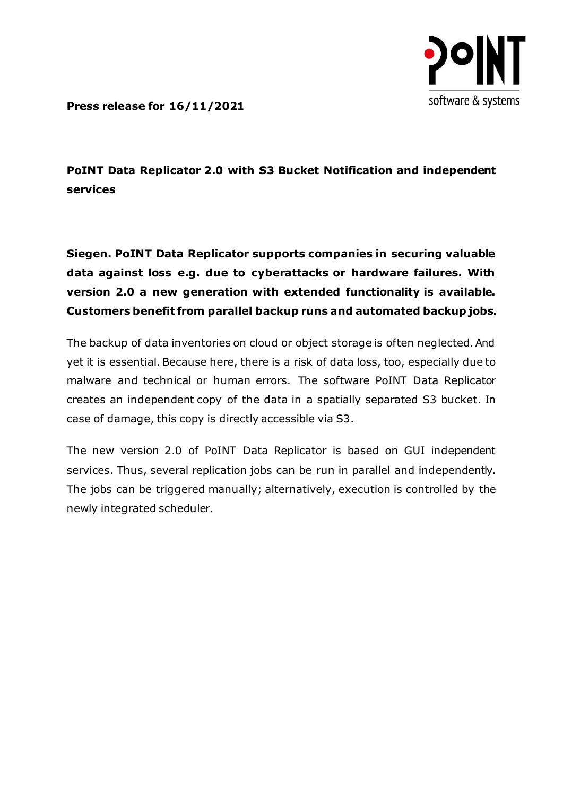

**Press release for 16/11/2021**

**PoINT Data Replicator 2.0 with S3 Bucket Notification and independent services**

**Siegen. PoINT Data Replicator supports companies in securing valuable data against loss e.g. due to cyberattacks or hardware failures. With version 2.0 a new generation with extended functionality is available. Customers benefit from parallel backup runs and automated backup jobs.**

The backup of data inventories on cloud or object storage is often neglected. And yet it is essential. Because here, there is a risk of data loss, too, especially due to malware and technical or human errors. The software PoINT Data Replicator creates an independent copy of the data in a spatially separated S3 bucket. In case of damage, this copy is directly accessible via S3.

The new version 2.0 of PoINT Data Replicator is based on GUI independent services. Thus, several replication jobs can be run in parallel and independently. The jobs can be triggered manually; alternatively, execution is controlled by the newly integrated scheduler.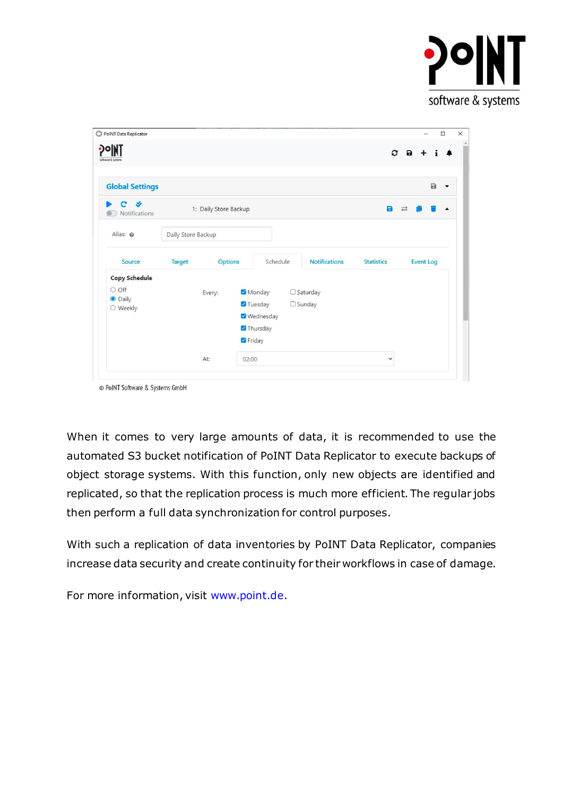

| PoINT Data Replicator                                       |                       |         |                                                                        |                                  |                   |                    | $\Box$               |
|-------------------------------------------------------------|-----------------------|---------|------------------------------------------------------------------------|----------------------------------|-------------------|--------------------|----------------------|
| CNIن (۱<br>software & systems                               |                       |         |                                                                        |                                  |                   | $\mathbf{c}$ a     |                      |
| <b>Global Settings</b>                                      |                       |         |                                                                        |                                  |                   | $\Box$             | $\blacktriangledown$ |
| Ý<br>c<br>Notifications                                     | 1: Daily Store Backup |         |                                                                        |                                  | $\blacksquare$    | $\rightleftarrows$ | $\blacktriangle$     |
| Alias: @                                                    | Daily Store Backup    |         |                                                                        |                                  |                   |                    |                      |
| Source                                                      | <b>Target</b>         | Options | Schedule                                                               | <b>Notifications</b>             | <b>Statistics</b> | <b>Event Log</b>   |                      |
| <b>Copy Schedule</b><br>O Off<br><b>O</b> Daily<br>O Weekly |                       | Every:  | Monday<br><b>7</b> Tuesday<br><b>V</b> Wednesday<br>Thursday<br>Friday | $\Box$ Saturday<br>$\Box$ Sunday |                   |                    |                      |
|                                                             | At:                   | 02:00   |                                                                        |                                  | $\checkmark$      |                    |                      |

When it comes to very large amounts of data, it is recommended to use the automated S3 bucket notification of PoINT Data Replicator to execute backups of object storage systems. With this function, only new objects are identified and replicated, so that the replication process is much more efficient. The regular jobs then perform a full data synchronization for control purposes.

With such a replication of data inventories by PoINT Data Replicator, companies increase data security and create continuity for their workflows in case of damage.

For more information, visit [www.point.de.](http://www.point.de/)